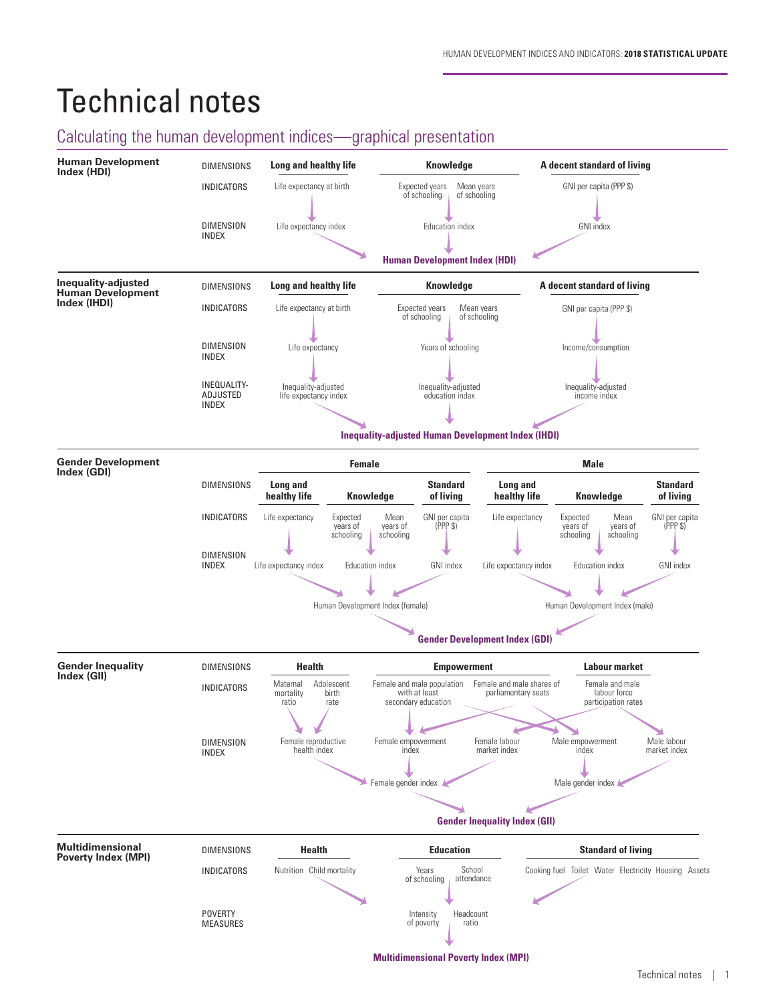# Technical notes

# Calculating the human development indices—graphical presentation

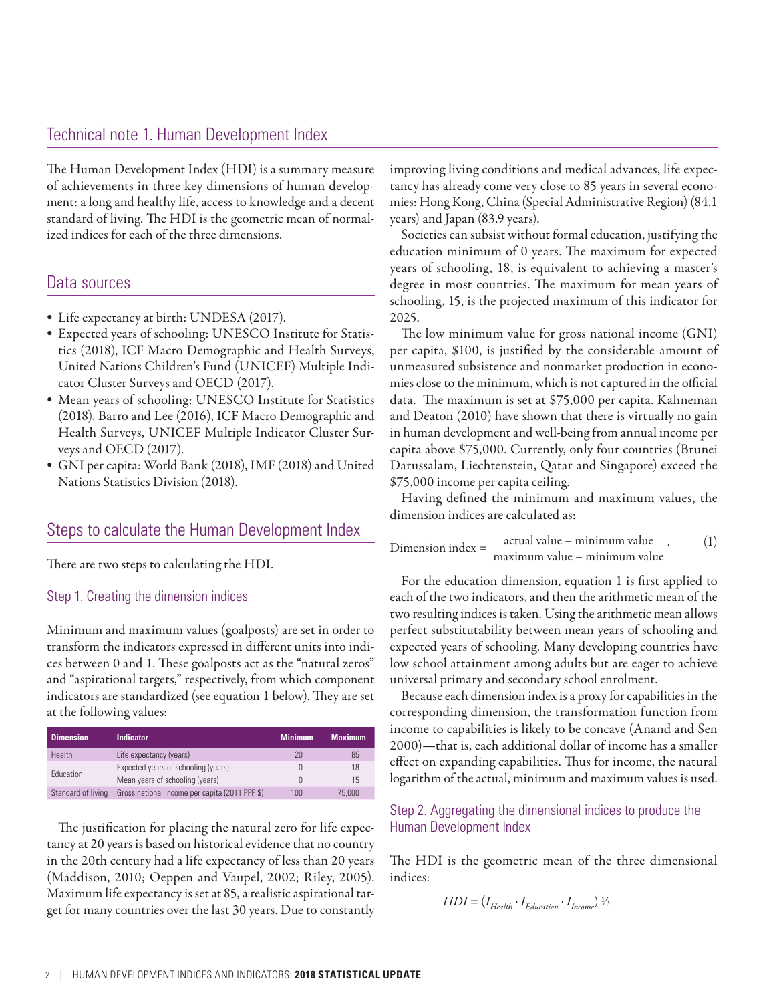The Human Development Index (HDI) is a summary measure of achievements in three key dimensions of human development: a long and healthy life, access to knowledge and a decent standard of living. The HDI is the geometric mean of normalized indices for each of the three dimensions.

# Data sources

- Life expectancy at birth: UNDESA (2017).
- Expected years of schooling: UNESCO Institute for Statistics (2018), ICF Macro Demographic and Health Surveys, United Nations Children's Fund (UNICEF) Multiple Indicator Cluster Surveys and OECD (2017).
- Mean years of schooling: UNESCO Institute for Statistics (2018), Barro and Lee (2016), ICF Macro Demographic and Health Surveys, UNICEF Multiple Indicator Cluster Surveys and OECD (2017).
- GNI per capita: World Bank (2018), IMF (2018) and United Nations Statistics Division (2018).

# Steps to calculate the Human Development Index

There are two steps to calculating the HDI.

#### Step 1. Creating the dimension indices

Minimum and maximum values (goalposts) are set in order to transform the indicators expressed in different units into indices between 0 and 1. These goalposts act as the "natural zeros" and "aspirational targets," respectively, from which component indicators are standardized (see equation 1 below). They are set at the following values:

| <b>Dimension</b>   | <b>Indicator</b>                               | <b>Minimum</b> | <b>Maximum</b> |
|--------------------|------------------------------------------------|----------------|----------------|
| <b>Health</b>      | Life expectancy (years)                        | 20             | 85             |
| Education          | Expected years of schooling (years)            |                | 18             |
|                    | Mean years of schooling (years)                |                | 15             |
| Standard of living | Gross national income per capita (2011 PPP \$) | 100            | 75,000         |

The justification for placing the natural zero for life expectancy at 20 years is based on historical evidence that no country in the 20th century had a life expectancy of less than 20 years (Maddison, 2010; Oeppen and Vaupel, 2002; Riley, 2005). Maximum life expectancy is set at 85, a realistic aspirational target for many countries over the last 30 years. Due to constantly improving living conditions and medical advances, life expectancy has already come very close to 85 years in several economies: Hong Kong, China (Special Administrative Region) (84.1 years) and Japan (83.9 years).

Societies can subsist without formal education, justifying the education minimum of 0 years. The maximum for expected years of schooling, 18, is equivalent to achieving a master's degree in most countries. The maximum for mean years of schooling, 15, is the projected maximum of this indicator for 2025.

The low minimum value for gross national income (GNI) per capita, \$100, is justified by the considerable amount of unmeasured subsistence and nonmarket production in economies close to the minimum, which is not captured in the official data. The maximum is set at \$75,000 per capita. Kahneman and Deaton (2010) have shown that there is virtually no gain in human development and well-being from annual income per capita above \$75,000. Currently, only four countries (Brunei Darussalam, Liechtenstein, Qatar and Singapore) exceed the \$75,000 income per capita ceiling.

Having defined the minimum and maximum values, the dimension indices are calculated as:

Dimension index = 
$$
\frac{\text{actual value} - \text{minimum value}}{\text{maximum value} - \text{minimum value}}
$$
. (1)

For the education dimension, equation 1 is first applied to each of the two indicators, and then the arithmetic mean of the two resulting indices is taken. Using the arithmetic mean allows perfect substitutability between mean years of schooling and expected years of schooling. Many developing countries have low school attainment among adults but are eager to achieve universal primary and secondary school enrolment.

Because each dimension index is a proxy for capabilities in the corresponding dimension, the transformation function from income to capabilities is likely to be concave (Anand and Sen 2000)—that is, each additional dollar of income has a smaller effect on expanding capabilities. Thus for income, the natural logarithm of the actual, minimum and maximum values is used.

## Step 2. Aggregating the dimensional indices to produce the Human Development Index

The HDI is the geometric mean of the three dimensional indices:

$$
HDI = (I_{Health} \cdot I_{Education} \cdot I_{Income}) \frac{1}{3}
$$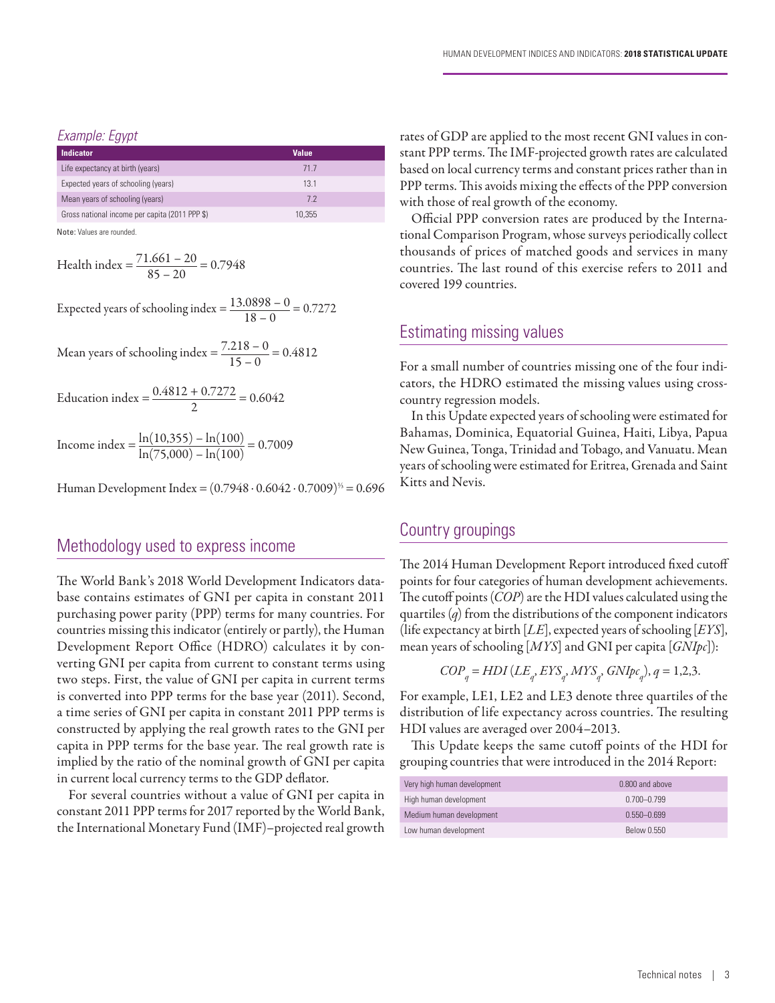#### *Example: Egypt*

| Indicator                                      | <b>Value</b> |  |
|------------------------------------------------|--------------|--|
| Life expectancy at birth (years)               | 717          |  |
| Expected years of schooling (years)            | 13.1         |  |
| Mean years of schooling (years)                | 72           |  |
| Gross national income per capita (2011 PPP \$) | 10.355       |  |

Note: Values are rounded.

Health index = 
$$
\frac{71.661 - 20}{85 - 20} = 0.7948
$$

Expected years of schooling index  $=$   $\frac{13.0898 - 0}{18 - 0} = 0.7272$ 

Mean years of schooling index  $=$   $\frac{7.218 - 0}{15 - 0} = 0.4812$ 

$$
Equcation index = \frac{0.4812 + 0.7272}{2} = 0.6042
$$

Income index =  $\frac{\ln(10,355) - \ln(100)}{\ln(75,000) - \ln(100)} = 0.7009$ 

Human Development Index =  $(0.7948 \cdot 0.6042 \cdot 0.7009)^{1/3} = 0.696$ 

# Methodology used to express income

The World Bank's 2018 World Development Indicators database contains estimates of GNI per capita in constant 2011 purchasing power parity (PPP) terms for many countries. For countries missing this indicator (entirely or partly), the Human Development Report Office (HDRO) calculates it by converting GNI per capita from current to constant terms using two steps. First, the value of GNI per capita in current terms is converted into PPP terms for the base year (2011). Second, a time series of GNI per capita in constant 2011 PPP terms is constructed by applying the real growth rates to the GNI per capita in PPP terms for the base year. The real growth rate is implied by the ratio of the nominal growth of GNI per capita in current local currency terms to the GDP deflator.

For several countries without a value of GNI per capita in constant 2011 PPP terms for 2017 reported by the World Bank, the International Monetary Fund (IMF)–projected real growth rates of GDP are applied to the most recent GNI values in constant PPP terms. The IMF-projected growth rates are calculated based on local currency terms and constant prices rather than in PPP terms. This avoids mixing the effects of the PPP conversion with those of real growth of the economy.

Official PPP conversion rates are produced by the International Comparison Program, whose surveys periodically collect thousands of prices of matched goods and services in many countries. The last round of this exercise refers to 2011 and covered 199 countries.

## Estimating missing values

For a small number of countries missing one of the four indicators, the HDRO estimated the missing values using crosscountry regression models.

In this Update expected years of schooling were estimated for Bahamas, Dominica, Equatorial Guinea, Haiti, Libya, Papua New Guinea, Tonga, Trinidad and Tobago, and Vanuatu. Mean years of schooling were estimated for Eritrea, Grenada and Saint Kitts and Nevis.

## Country groupings

The 2014 Human Development Report introduced fixed cutoff points for four categories of human development achievements. The cutoff points (*COP*) are the HDI values calculated using the quartiles (*q*) from the distributions of the component indicators (life expectancy at birth [*LE*], expected years of schooling [*EYS*], mean years of schooling [*MYS*] and GNI per capita [*GNIpc*]):

$$
COP_q = HDI(LE_q, EYS_q, MYS_q, GNIpc_q), q = 1,2,3.
$$

For example, LE1, LE2 and LE3 denote three quartiles of the distribution of life expectancy across countries. The resulting HDI values are averaged over 2004–2013.

This Update keeps the same cutoff points of the HDI for grouping countries that were introduced in the 2014 Report:

| Very high human development | 0.800 and above |
|-----------------------------|-----------------|
| High human development      | $0.700 - 0.799$ |
| Medium human development    | $0.550 - 0.699$ |
| Low human development       | Below 0.550     |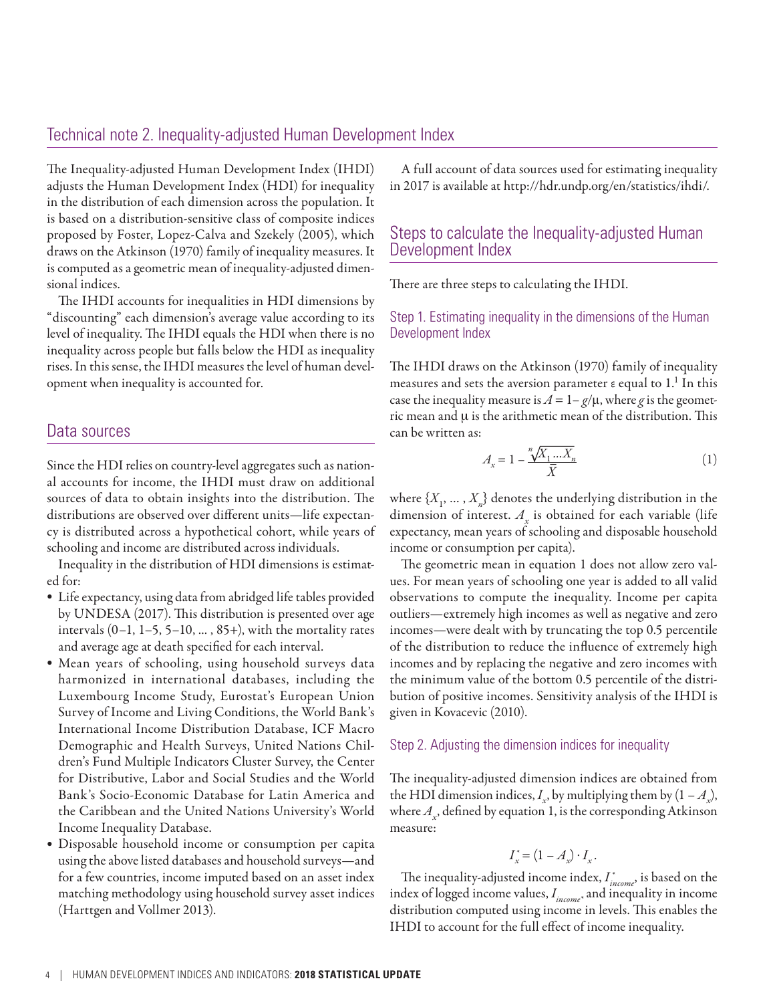# Technical note 2. Inequality-adjusted Human Development Index

The Inequality-adjusted Human Development Index (IHDI) adjusts the Human Development Index (HDI) for inequality in the distribution of each dimension across the population. It is based on a distribution-sensitive class of composite indices proposed by Foster, Lopez-Calva and Szekely (2005), which draws on the Atkinson (1970) family of inequality measures. It is computed as a geometric mean of inequality-adjusted dimensional indices.

The IHDI accounts for inequalities in HDI dimensions by "discounting" each dimension's average value according to its level of inequality. The IHDI equals the HDI when there is no inequality across people but falls below the HDI as inequality rises. In this sense, the IHDI measures the level of human development when inequality is accounted for.

## Data sources

Since the HDI relies on country-level aggregates such as national accounts for income, the IHDI must draw on additional sources of data to obtain insights into the distribution. The distributions are observed over different units—life expectancy is distributed across a hypothetical cohort, while years of schooling and income are distributed across individuals.

Inequality in the distribution of HDI dimensions is estimated for:

- Life expectancy, using data from abridged life tables provided by UNDESA (2017). This distribution is presented over age intervals  $(0-1, 1-5, 5-10, \ldots, 85+)$ , with the mortality rates and average age at death specified for each interval.
- Mean years of schooling, using household surveys data harmonized in international databases, including the Luxembourg Income Study, Eurostat's European Union Survey of Income and Living Conditions, the World Bank's International Income Distribution Database, ICF Macro Demographic and Health Surveys, United Nations Children's Fund Multiple Indicators Cluster Survey, the Center for Distributive, Labor and Social Studies and the World Bank's Socio-Economic Database for Latin America and the Caribbean and the United Nations University's World Income Inequality Database.
- Disposable household income or consumption per capita using the above listed databases and household surveys—and for a few countries, income imputed based on an asset index matching methodology using household survey asset indices (Harttgen and Vollmer 2013).

A full account of data sources used for estimating inequality in 2017 is available at <http://hdr.undp.org/en/statistics/ihdi/>.

# Steps to calculate the Inequality-adjusted Human Development Index

There are three steps to calculating the IHDI.

Step 1. Estimating inequality in the dimensions of the Human Development Index

The IHDI draws on the Atkinson (1970) family of inequality measures and sets the aversion parameter  $\varepsilon$  equal to  $1.^1$  In this case the inequality measure is  $A = 1 - g/\mu$ , where *g* is the geometric mean and  $\mu$  is the arithmetic mean of the distribution. This can be written as:

$$
A_x = 1 - \frac{\sqrt[n]{X_1 \dots X_n}}{\bar{X}} \tag{1}
$$

where  $\{X_1, \ldots, X_n\}$  denotes the underlying distribution in the dimension of interest.  $A_x$  is obtained for each variable (life expectancy, mean years of schooling and disposable household income or consumption per capita).

The geometric mean in equation 1 does not allow zero values. For mean years of schooling one year is added to all valid observations to compute the inequality. Income per capita outliers—extremely high incomes as well as negative and zero incomes—were dealt with by truncating the top 0.5 percentile of the distribution to reduce the influence of extremely high incomes and by replacing the negative and zero incomes with the minimum value of the bottom 0.5 percentile of the distribution of positive incomes. Sensitivity analysis of the IHDI is given in Kovacevic (2010).

#### Step 2. Adjusting the dimension indices for inequality

The inequality-adjusted dimension indices are obtained from the HDI dimension indices,  $I_x$ , by multiplying them by  $(1 - A_x)$ , where  $A_{x}$ , defined by equation 1, is the corresponding Atkinson measure:

$$
I_x^* = (1 - A_x) \cdot I_x.
$$

The inequality-adjusted income index, *I \* income*, is based on the index of logged income values, *I income\** and inequality in income distribution computed using income in levels. This enables the IHDI to account for the full effect of income inequality.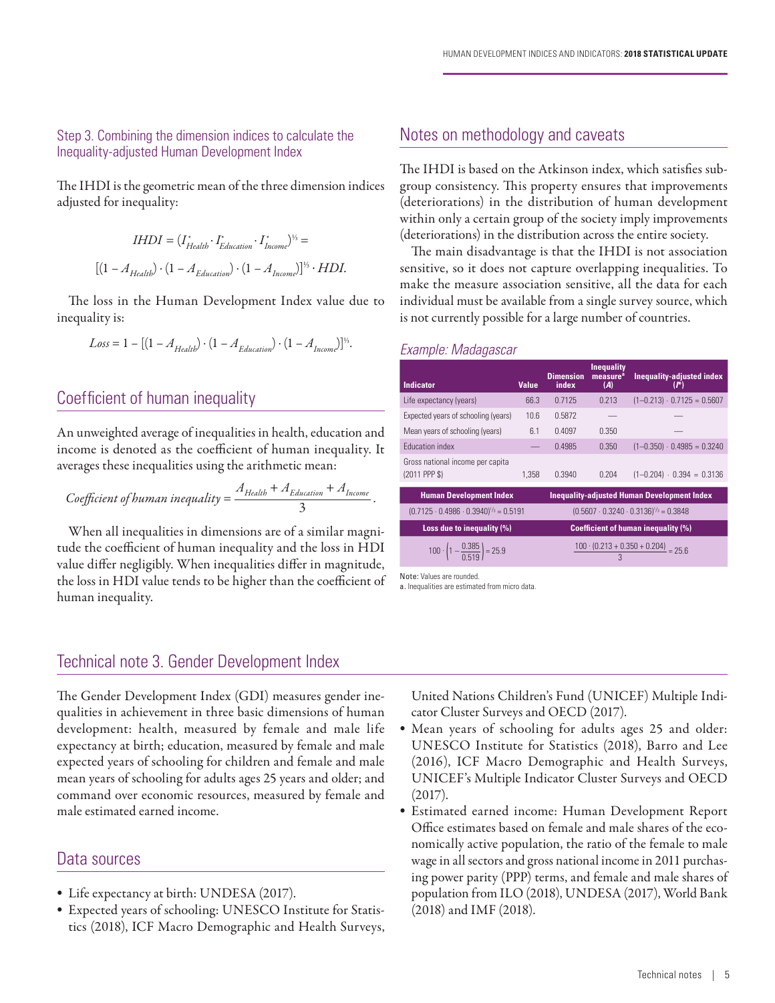#### Step 3. Combining the dimension indices to calculate the Inequality-adjusted Human Development Index

The IHDI is the geometric mean of the three dimension indices adjusted for inequality:

$$
IHDI = (I_{Health}^{*} \cdot I_{Education}^{*} \cdot I_{known}^{*})^{\frac{1}{2}} =
$$
  

$$
[(1 - A_{Health}) \cdot (1 - A_{Education}) \cdot (1 - A_{Incomp})]^{\frac{1}{2}} \cdot HDI.
$$

The loss in the Human Development Index value due to inequality is:

$$
Loss = 1 - [(1 - A_{Health}) \cdot (1 - A_{Education}) \cdot (1 - A_{Incom})]^{1/3}.
$$

# Coefficient of human inequality

An unweighted average of inequalities in health, education and income is denoted as the coefficient of human inequality. It averages these inequalities using the arithmetic mean:

Coefficient of human inequality = 
$$
\frac{A_{Health} + A_{Education} + A_{Income}}{3}.
$$

When all inequalities in dimensions are of a similar magnitude the coefficient of human inequality and the loss in HDI value differ negligibly. When inequalities differ in magnitude, the loss in HDI value tends to be higher than the coefficient of human inequality.

# Notes on methodology and caveats

The IHDI is based on the Atkinson index, which satisfies subgroup consistency. This property ensures that improvements (deteriorations) in the distribution of human development within only a certain group of the society imply improvements (deteriorations) in the distribution across the entire society.

The main disadvantage is that the IHDI is not association sensitive, so it does not capture overlapping inequalities. To make the measure association sensitive, all the data for each individual must be available from a single survey source, which is not currently possible for a large number of countries.

#### *Example: Madagascar*

| <b>Indicator</b>                                        | <b>Value</b>                               | <b>Dimension</b><br>index                           | <b>Inequality</b><br>measure <sup>a</sup><br>(A) | Inequality-adjusted index<br>$(r^*)$                    |  |
|---------------------------------------------------------|--------------------------------------------|-----------------------------------------------------|--------------------------------------------------|---------------------------------------------------------|--|
| Life expectancy (years)                                 | 66.3                                       | 0.7125                                              | 0.213                                            | $(1-0.213) \cdot 0.7125 = 0.5607$                       |  |
| Expected years of schooling (years)                     | 10.6                                       | 0.5872                                              |                                                  |                                                         |  |
| Mean years of schooling (years)                         | 6.1                                        | 0.4097                                              | 0.350                                            |                                                         |  |
| <b>Fducation index</b>                                  |                                            | 0.4985                                              | 0.350                                            | $(1-0.350) \cdot 0.4985 = 0.3240$                       |  |
| Gross national income per capita<br>(2011 PPP \$)       | 1.358                                      | 0.3940                                              | 0.204                                            | $(1-0.204) \cdot 0.394 = 0.3136$                        |  |
| <b>Human Development Index</b>                          |                                            |                                                     |                                                  | <b>Inequality-adjusted Human Development Index</b>      |  |
| $(0.7125 \cdot 0.4986 \cdot 0.3940)^{1/3} = 0.5191$     |                                            | $(0.5607 \cdot 0.3240 \cdot 0.3136)^{1/3} = 0.3848$ |                                                  |                                                         |  |
| Loss due to inequality (%)                              | <b>Coefficient of human inequality (%)</b> |                                                     |                                                  |                                                         |  |
| 100 $\cdot \left(1 - \frac{0.385}{0.519}\right) = 25.9$ |                                            |                                                     |                                                  | $\frac{100 \cdot (0.213 + 0.350 + 0.204)}{25.6} = 75.6$ |  |

Note: Values are rounded.

a. Inequalities are estimated from micro data

# Technical note 3. Gender Development Index

The Gender Development Index (GDI) measures gender inequalities in achievement in three basic dimensions of human development: health, measured by female and male life expectancy at birth; education, measured by female and male expected years of schooling for children and female and male mean years of schooling for adults ages 25 years and older; and command over economic resources, measured by female and male estimated earned income.

# Data sources

- Life expectancy at birth: UNDESA (2017).
- Expected years of schooling: UNESCO Institute for Statistics (2018), ICF Macro Demographic and Health Surveys,

United Nations Children's Fund (UNICEF) Multiple Indicator Cluster Surveys and OECD (2017).

- Mean years of schooling for adults ages 25 and older: UNESCO Institute for Statistics (2018), Barro and Lee (2016), ICF Macro Demographic and Health Surveys, UNICEF's Multiple Indicator Cluster Surveys and OECD (2017).
- Estimated earned income: Human Development Report Office estimates based on female and male shares of the economically active population, the ratio of the female to male wage in all sectors and gross national income in 2011 purchasing power parity (PPP) terms, and female and male shares of population from ILO (2018), UNDESA (2017), World Bank (2018) and IMF (2018).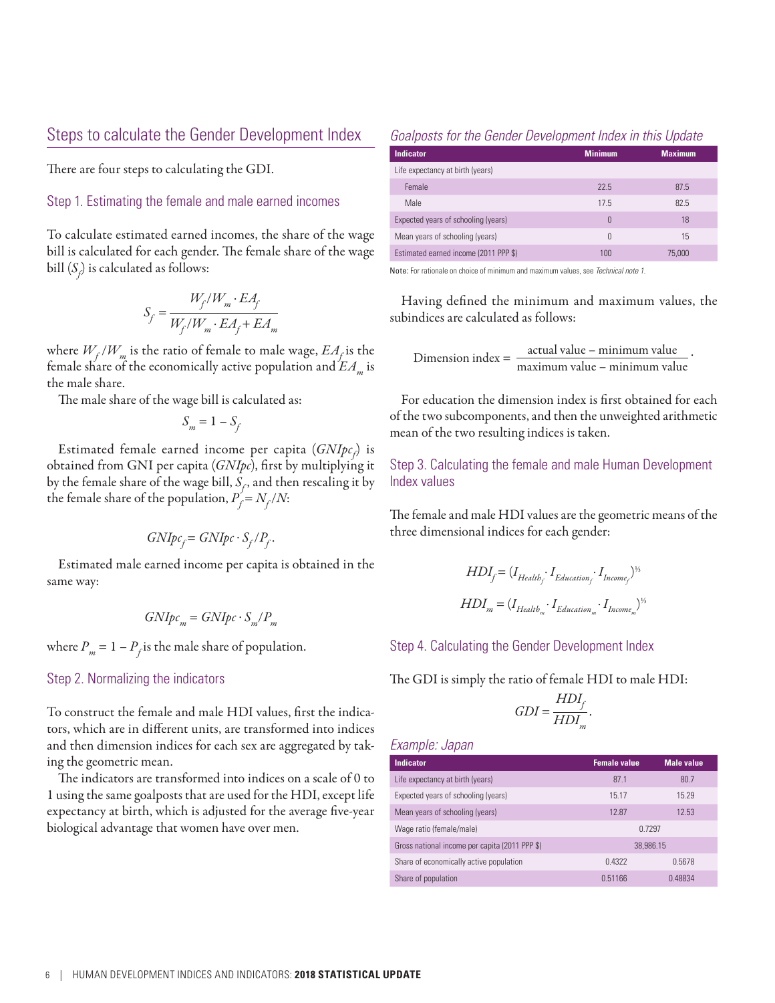# Steps to calculate the Gender Development Index

There are four steps to calculating the GDI.

Step 1. Estimating the female and male earned incomes

To calculate estimated earned incomes, the share of the wage bill is calculated for each gender. The female share of the wage bill  $(\mathcal{S}_{\!f\!})$  is calculated as follows:

$$
S_f = \frac{W_f/W_m \cdot EA_f}{W_f/W_m \cdot EA_f + EA_m}
$$

where  $W_f/W_m$  is the ratio of female to male wage,  $EA_f$  is the female share of the economically active population and  $EA_{m}$  is the male share.

The male share of the wage bill is calculated as:

$$
S_m = 1 - S_f
$$

Estimated female earned income per capita (*GNIpc<sub>f</sub>*) is obtained from GNI per capita (*GNIpc*), first by multiplying it by the female share of the wage bill,  $S_f$ , and then rescaling it by the female share of the population,  $P_f = N_f/N$ :

$$
GNIpc_f = GNIpc \cdot S_f/P_f.
$$

Estimated male earned income per capita is obtained in the same way:

$$
GNIpc_m = GNIpc \cdot S_m/P_m
$$

where  $P_m = 1 - P_f$  is the male share of population.

#### Step 2. Normalizing the indicators

To construct the female and male HDI values, first the indicators, which are in different units, are transformed into indices and then dimension indices for each sex are aggregated by taking the geometric mean.

The indicators are transformed into indices on a scale of 0 to 1 using the same goalposts that are used for the HDI, except life expectancy at birth, which is adjusted for the average five-year biological advantage that women have over men.

#### *Goalposts for the Gender Development Index in this Update*

| <b>Indicator</b>                      | <b>Minimum</b> | <b>Maximum</b> |
|---------------------------------------|----------------|----------------|
| Life expectancy at birth (years)      |                |                |
| Female                                | 22.5           | 87.5           |
| Male                                  | 17.5           | 82.5           |
| Expected years of schooling (years)   | 0              | 18             |
| Mean years of schooling (years)       | 0              | 15             |
| Estimated earned income (2011 PPP \$) | 100            | 75,000         |

Note: For rationale on choice of minimum and maximum values, see *Technical note 1.*

Having defined the minimum and maximum values, the subindices are calculated as follows:

 $D$ imension index =  $\frac{\text{actual value} - \text{minimum value}}{\text{maximum value} - \text{minimum value}}$ 

.

For education the dimension index is first obtained for each of the two subcomponents, and then the unweighted arithmetic mean of the two resulting indices is taken.

Step 3. Calculating the female and male Human Development Index values

The female and male HDI values are the geometric means of the three dimensional indices for each gender:

$$
HDI_f = (I_{Health_f} \cdot I_{Education_f} \cdot I_{Income_f})^{1/5}
$$
  

$$
HDI_m = (I_{Health_m} \cdot I_{Education_m} \cdot I_{Income_m})^{1/5}
$$

Step 4. Calculating the Gender Development Index

The GDI is simply the ratio of female HDI to male HDI:

$$
GDI = \frac{HDI_f}{HDI_m}.
$$

*Example: Japan*

| <b>Indicator</b>                               | <b>Female value</b> | <b>Male value</b> |  |
|------------------------------------------------|---------------------|-------------------|--|
| Life expectancy at birth (years)               | 87.1                | 80.7              |  |
| Expected years of schooling (years)            | 15.17               | 15.29             |  |
| Mean years of schooling (years)                | 12.87               | 12.53             |  |
| Wage ratio (female/male)                       | 0.7297              |                   |  |
| Gross national income per capita (2011 PPP \$) | 38.986.15           |                   |  |
| Share of economically active population        | 0.4322              | 0.5678            |  |
| Share of population                            | 0.51166             | 0.48834           |  |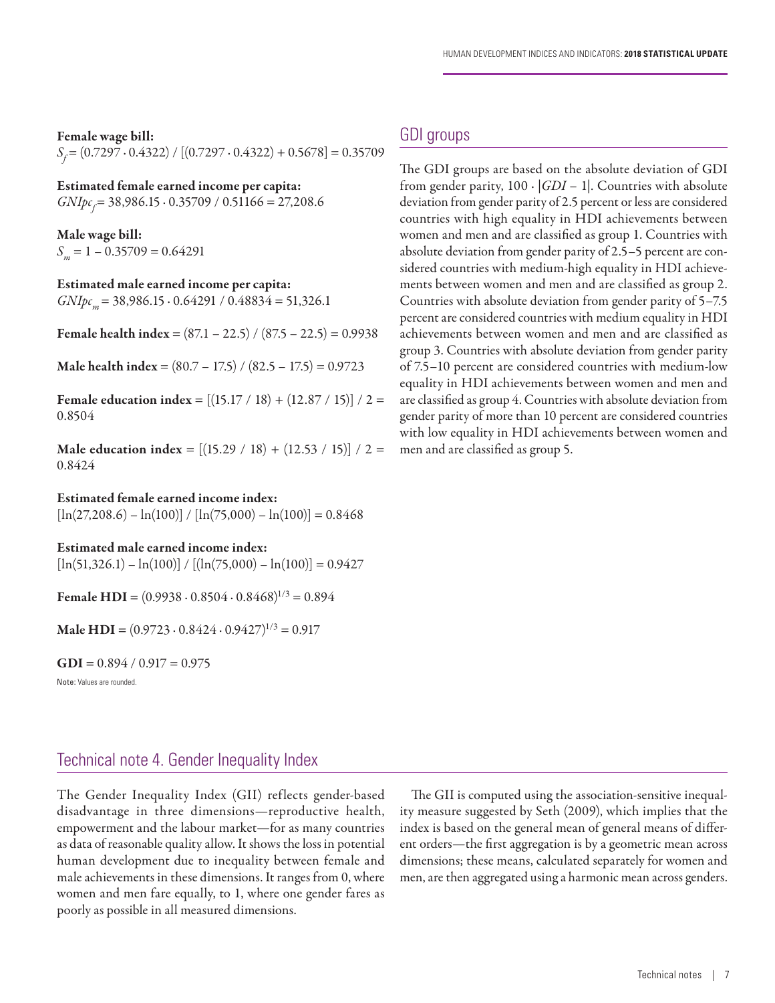Female wage bill:

*S<sub>f</sub>* = (0.7297 ⋅ 0.4322) / [(0.7297 ⋅ 0.4322) + 0.5678] = 0.35709

Estimated female earned income per capita:

*GNIpc<sub>f</sub>* = 38,986.15 ⋅ 0.35709 / 0.51166 = 27,208.6

Male wage bill:  $S_m = 1 - 0.35709 = 0.64291$ 

Estimated male earned income per capita: *GNIpc*<sub>m</sub> = 38,986.15 ⋅ 0.64291 / 0.48834 = 51,326.1

**Female health index** =  $(87.1 - 22.5) / (87.5 - 22.5) = 0.9938$ 

**Male health index** =  $(80.7 – 17.5) / (82.5 – 17.5) = 0.9723$ 

Female education index =  $[(15.17 / 18) + (12.87 / 15)] / 2 =$ 0.8504

Male education index =  $[(15.29 / 18) + (12.53 / 15)] / 2 =$ 0.8424

Estimated female earned income index:

 $\left[\ln(27,208.6) - \ln(100)\right] / \left[\ln(75,000) - \ln(100)\right] = 0.8468$ 

Estimated male earned income index:

 $[\ln(51,326.1) - \ln(100)] / [(\ln(75,000) - \ln(100))] = 0.9427$ 

Female HDI =  $(0.9938 \cdot 0.8504 \cdot 0.8468)^{1/3} = 0.894$ 

**Male HDI** =  $(0.9723 \cdot 0.8424 \cdot 0.9427)^{1/3} = 0.917$ 

 $GDI = 0.894 / 0.917 = 0.975$ 

Note: Values are rounded.

# GDI groups

The GDI groups are based on the absolute deviation of GDI from gender parity,  $100 \cdot |GDI - 1|$ . Countries with absolute deviation from gender parity of 2.5 percent or less are considered countries with high equality in HDI achievements between women and men and are classified as group 1. Countries with absolute deviation from gender parity of 2.5–5 percent are considered countries with medium-high equality in HDI achievements between women and men and are classified as group 2. Countries with absolute deviation from gender parity of 5–7.5 percent are considered countries with medium equality in HDI achievements between women and men and are classified as group 3. Countries with absolute deviation from gender parity of 7.5–10 percent are considered countries with medium-low equality in HDI achievements between women and men and are classified as group 4. Countries with absolute deviation from gender parity of more than 10 percent are considered countries with low equality in HDI achievements between women and men and are classified as group 5.

Technical note 4. Gender Inequality Index

The Gender Inequality Index (GII) reflects gender-based disadvantage in three dimensions—reproductive health, empowerment and the labour market—for as many countries as data of reasonable quality allow. It shows the loss in potential human development due to inequality between female and male achievements in these dimensions. It ranges from 0, where women and men fare equally, to 1, where one gender fares as poorly as possible in all measured dimensions.

The GII is computed using the association-sensitive inequality measure suggested by Seth (2009), which implies that the index is based on the general mean of general means of different orders—the first aggregation is by a geometric mean across dimensions; these means, calculated separately for women and men, are then aggregated using a harmonic mean across genders.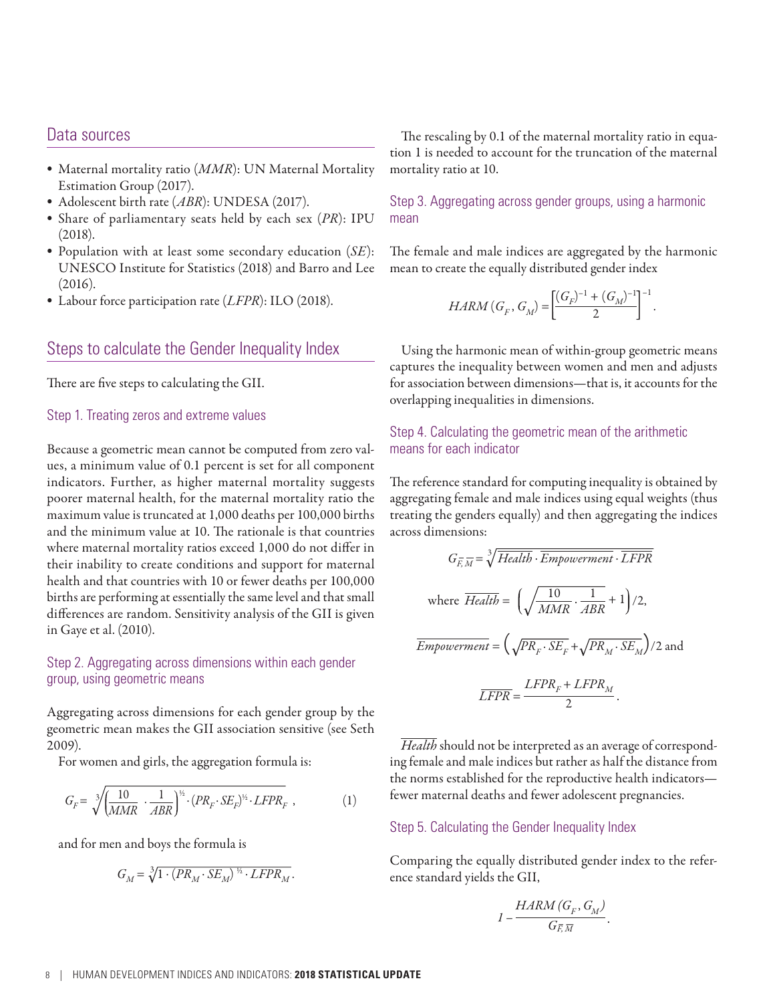## Data sources

- Maternal mortality ratio (*MMR*): UN Maternal Mortality Estimation Group (2017).
- Adolescent birth rate (*ABR*): UNDESA (2017).
- Share of parliamentary seats held by each sex (*PR*): IPU (2018).
- Population with at least some secondary education (*SE*): UNESCO Institute for Statistics (2018) and Barro and Lee (2016).
- Labour force participation rate (*LFPR*): ILO (2018).

# Steps to calculate the Gender Inequality Index

There are five steps to calculating the GII.

#### Step 1. Treating zeros and extreme values

Because a geometric mean cannot be computed from zero values, a minimum value of 0.1 percent is set for all component indicators. Further, as higher maternal mortality suggests poorer maternal health, for the maternal mortality ratio the maximum value is truncated at 1,000 deaths per 100,000 births and the minimum value at 10. The rationale is that countries where maternal mortality ratios exceed 1,000 do not differ in their inability to create conditions and support for maternal health and that countries with 10 or fewer deaths per 100,000 births are performing at essentially the same level and that small differences are random. Sensitivity analysis of the GII is given in Gaye et al. (2010).

#### Step 2. Aggregating across dimensions within each gender group, using geometric means

Aggregating across dimensions for each gender group by the geometric mean makes the GII association sensitive (see Seth 2009).

For women and girls, the aggregation formula is:

$$
G_F = \sqrt[3]{\left(\frac{10}{MMR} \cdot \frac{1}{ABR}\right)^{\frac{1}{2}} \cdot (PR_F \cdot SE_F)^{\frac{1}{2}} \cdot LFPR_F} ,\qquad (1)
$$

and for men and boys the formula is

$$
G_M = \sqrt[3]{1 \cdot (PR_M \cdot SE_M)^{\frac{1}{2}} \cdot LFPR_M}.
$$

The rescaling by 0.1 of the maternal mortality ratio in equation 1 is needed to account for the truncation of the maternal mortality ratio at 10.

Step 3. Aggregating across gender groups, using a harmonic mean

The female and male indices are aggregated by the harmonic mean to create the equally distributed gender index

$$
HARM(G_F, G_M) = \left[\frac{(G_F)^{-1} + (G_M)^{-1}}{2}\right]^{-1}
$$

.

Using the harmonic mean of within-group geometric means captures the inequality between women and men and adjusts for association between dimensions—that is, it accounts for the overlapping inequalities in dimensions.

## Step 4. Calculating the geometric mean of the arithmetic means for each indicator

The reference standard for computing inequality is obtained by aggregating female and male indices using equal weights (thus treating the genders equally) and then aggregating the indices across dimensions:

$$
G_{\overline{E},\overline{M}} = \sqrt[3]{Health \cdot \overline{Empowerment} \cdot \overline{LFPR}}
$$
  
where  $\overline{Health} = \left(\sqrt{\frac{10}{MMR} \cdot \frac{1}{ABR}} + 1\right)/2$ ,  
 $\overline{Empowerment} = \left(\sqrt{PR_F \cdot SE_F} + \sqrt{PR_M \cdot SE_M}\right)/2$  and
$$
\overline{LFPR} = \frac{LFPR_F + LFPR_M}{2}.
$$

*Health* should not be interpreted as an average of corresponding female and male indices but rather as half the distance from the norms established for the reproductive health indicators fewer maternal deaths and fewer adolescent pregnancies.

#### Step 5. Calculating the Gender Inequality Index

Comparing the equally distributed gender index to the reference standard yields the GII,

$$
I - \frac{HARM(G_F, G_M)}{G_{\overline{F},\overline{M}}}.
$$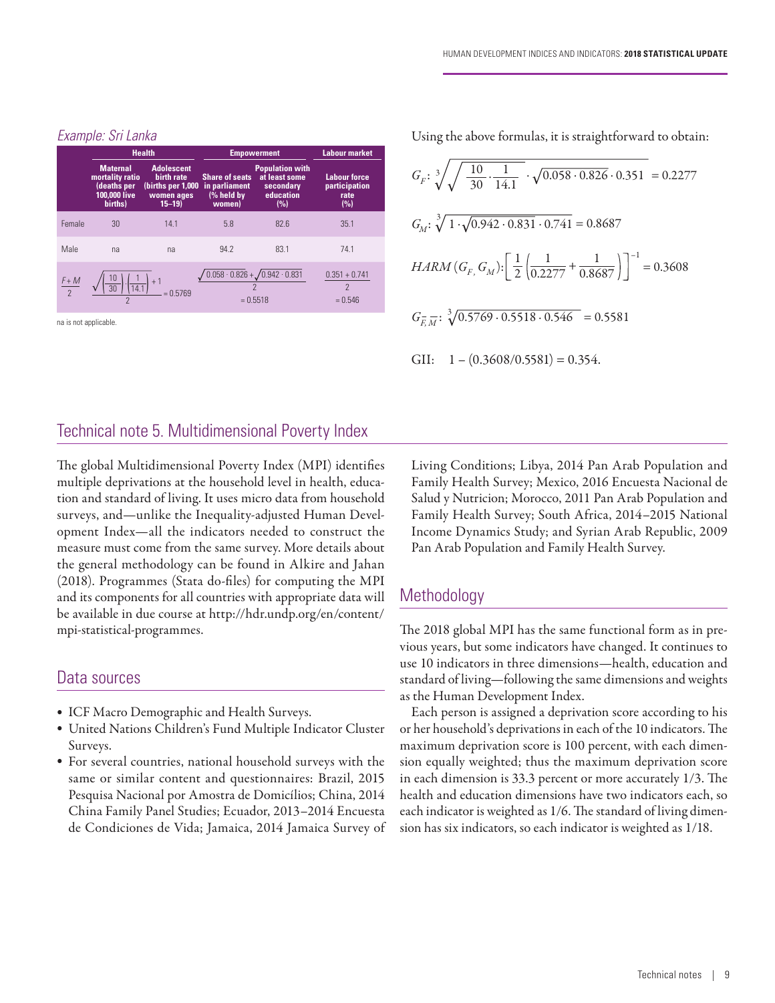|               | <b>Health</b>                                                                |                                                                                  | <b>Empowerment</b>                                             | <b>Labour market</b>                                                     |                                                          |
|---------------|------------------------------------------------------------------------------|----------------------------------------------------------------------------------|----------------------------------------------------------------|--------------------------------------------------------------------------|----------------------------------------------------------|
|               | <b>Maternal</b><br>mortality ratio<br>(deaths per<br>100,000 live<br>births) | <b>Adolescent</b><br>birth rate<br>(births per 1,000)<br>women ages<br>$15 - 19$ | <b>Share of seats</b><br>in parliament<br>(% held by<br>women) | <b>Population with</b><br>at least some<br>secondary<br>education<br>(%) | <b>Labour force</b><br>participation<br>rate<br>(%)      |
| Female        | 30                                                                           | 14.1                                                                             | 5.8                                                            | 82.6                                                                     | 35.1                                                     |
| Male          | na                                                                           | na                                                                               | 94.2                                                           | 83.1                                                                     | 74.1                                                     |
| $rac{F+M}{2}$ | $\overline{30}$<br>14.1                                                      | $= 0.5769$                                                                       |                                                                | $0.058 \cdot 0.826 + 0.942 \cdot 0.831$<br>$= 0.5518$                    | $0.351 + 0.741$<br>$\overline{\phantom{0}}$<br>$= 0.546$ |

#### *Example: Sri Lanka*

na is not applicable.

Using the above formulas, it is straightforward to obtain:

$$
G_F: \sqrt[3]{\sqrt{\frac{10}{30} \cdot \frac{1}{14.1}} \cdot \sqrt{0.058 \cdot 0.826} \cdot 0.351} = 0.2277
$$
  
\n
$$
G_M: \sqrt[3]{1 \cdot \sqrt{0.942 \cdot 0.831} \cdot 0.741} = 0.8687
$$
  
\n
$$
HARM(G_F, G_M): \left[\frac{1}{2} \left(\frac{1}{0.2277} + \frac{1}{0.8687}\right)\right]^{-1} = 0.3608
$$
  
\n
$$
G_{F\overline{M}}: \sqrt[3]{0.5769 \cdot 0.5518 \cdot 0.546} = 0.5581
$$
  
\nGII:  $1 - (0.3608/0.5581) = 0.354$ .

# Technical note 5. Multidimensional Poverty Index

The global Multidimensional Poverty Index (MPI) identifies multiple deprivations at the household level in health, education and standard of living. It uses micro data from household surveys, and—unlike the Inequality-adjusted Human Development Index—all the indicators needed to construct the measure must come from the same survey. More details about the general methodology can be found in Alkire and Jahan (2018). Programmes (Stata do-files) for computing the MPI and its components for all countries with appropriate data will be available in due course at http://hdr.undp.org/en/content/ mpi-statistical-programmes.

# Data sources

- ICF Macro Demographic and Health Surveys.
- United Nations Children's Fund Multiple Indicator Cluster Surveys.
- For several countries, national household surveys with the same or similar content and questionnaires: Brazil, 2015 Pesquisa Nacional por Amostra de Domicílios; China, 2014 China Family Panel Studies; Ecuador, 2013–2014 Encuesta de Condiciones de Vida; Jamaica, 2014 Jamaica Survey of

Living Conditions; Libya, 2014 Pan Arab Population and Family Health Survey; Mexico, 2016 Encuesta Nacional de Salud y Nutricion; Morocco, 2011 Pan Arab Population and Family Health Survey; South Africa, 2014–2015 National Income Dynamics Study; and Syrian Arab Republic, 2009 Pan Arab Population and Family Health Survey.

# **Methodology**

The 2018 global MPI has the same functional form as in previous years, but some indicators have changed. It continues to use 10 indicators in three dimensions—health, education and standard of living—following the same dimensions and weights as the Human Development Index.

Each person is assigned a deprivation score according to his or her household's deprivations in each of the 10 indicators. The maximum deprivation score is 100 percent, with each dimension equally weighted; thus the maximum deprivation score in each dimension is 33.3 percent or more accurately 1/3. The health and education dimensions have two indicators each, so each indicator is weighted as 1/6. The standard of living dimension has six indicators, so each indicator is weighted as 1/18.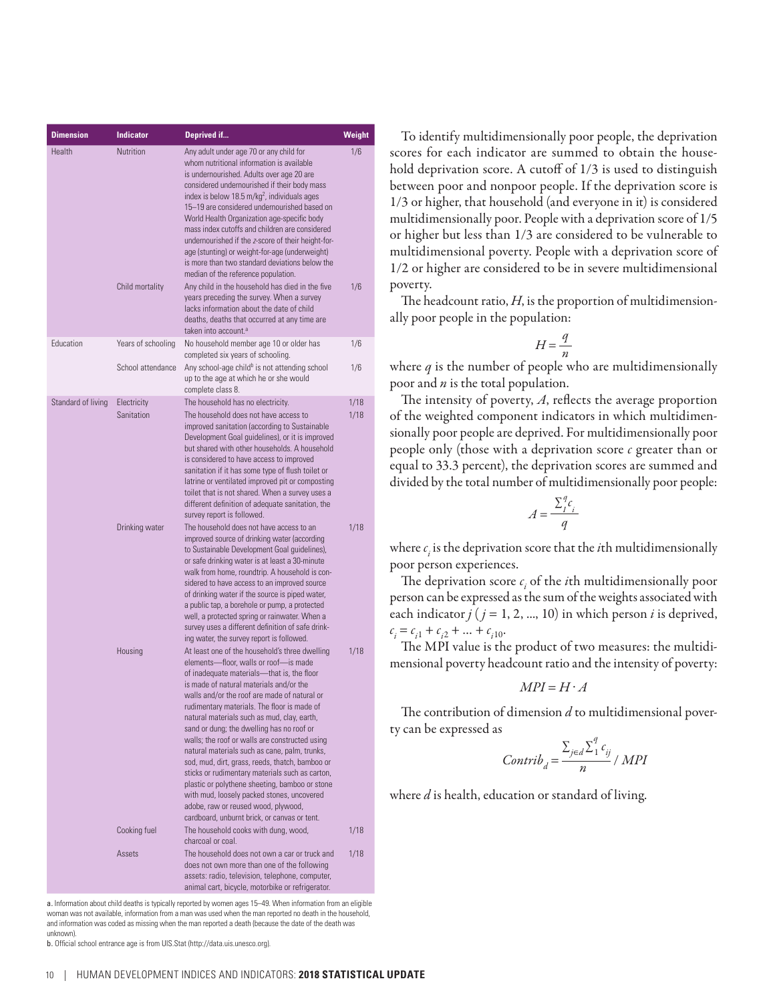| <b>Dimension</b>   | <b>Indicator</b>          | Deprived if                                                                                                                                                                                                                                                                                                                                                                                                                                                                                                                                                                                                                                                                                                                                                                 | Weight       |
|--------------------|---------------------------|-----------------------------------------------------------------------------------------------------------------------------------------------------------------------------------------------------------------------------------------------------------------------------------------------------------------------------------------------------------------------------------------------------------------------------------------------------------------------------------------------------------------------------------------------------------------------------------------------------------------------------------------------------------------------------------------------------------------------------------------------------------------------------|--------------|
| Health             | Nutrition                 | Any adult under age 70 or any child for<br>whom nutritional information is available<br>is undernourished. Adults over age 20 are<br>considered undernourished if their body mass<br>index is below 18.5 m/kg <sup>2</sup> , individuals ages<br>15-19 are considered undernourished based on<br>World Health Organization age-specific body<br>mass index cutoffs and children are considered<br>undernourished if the z-score of their height-for-<br>age (stunting) or weight-for-age (underweight)<br>is more than two standard deviations below the<br>median of the reference population.                                                                                                                                                                             | 1/6          |
|                    | Child mortality           | Any child in the household has died in the five<br>years preceding the survey. When a survey<br>lacks information about the date of child<br>deaths, deaths that occurred at any time are<br>taken into account. <sup>a</sup>                                                                                                                                                                                                                                                                                                                                                                                                                                                                                                                                               | 1/6          |
| <b>Education</b>   | Years of schooling        | No household member age 10 or older has                                                                                                                                                                                                                                                                                                                                                                                                                                                                                                                                                                                                                                                                                                                                     | 1/6          |
|                    | School attendance         | completed six years of schooling.<br>Any school-age child <sup>b</sup> is not attending school<br>up to the age at which he or she would<br>complete class 8.                                                                                                                                                                                                                                                                                                                                                                                                                                                                                                                                                                                                               | 1/6          |
| Standard of living | Electricity<br>Sanitation | The household has no electricity.<br>The household does not have access to<br>improved sanitation (according to Sustainable                                                                                                                                                                                                                                                                                                                                                                                                                                                                                                                                                                                                                                                 | 1/18<br>1/18 |
|                    |                           | Development Goal quidelines), or it is improved<br>but shared with other households. A household<br>is considered to have access to improved<br>sanitation if it has some type of flush toilet or<br>latrine or ventilated improved pit or composting<br>toilet that is not shared. When a survey uses a<br>different definition of adequate sanitation, the<br>survey report is followed.                                                                                                                                                                                                                                                                                                                                                                                  |              |
|                    | Drinking water            | The household does not have access to an<br>improved source of drinking water (according<br>to Sustainable Development Goal guidelines),<br>or safe drinking water is at least a 30-minute<br>walk from home, roundtrip. A household is con-<br>sidered to have access to an improved source<br>of drinking water if the source is piped water,<br>a public tap, a borehole or pump, a protected<br>well, a protected spring or rainwater. When a<br>survey uses a different definition of safe drink-<br>ing water, the survey report is followed.                                                                                                                                                                                                                         | 1/18         |
|                    | Housing                   | At least one of the household's three dwelling<br>elements-floor, walls or roof-is made<br>of inadequate materials—that is, the floor<br>is made of natural materials and/or the<br>walls and/or the roof are made of natural or<br>rudimentary materials. The floor is made of<br>natural materials such as mud, clay, earth,<br>sand or dung; the dwelling has no roof or<br>walls; the roof or walls are constructed using<br>natural materials such as cane, palm, trunks,<br>sod, mud, dirt, grass, reeds, thatch, bamboo or<br>sticks or rudimentary materials such as carton,<br>plastic or polythene sheeting, bamboo or stone<br>with mud, loosely packed stones, uncovered<br>adobe, raw or reused wood, plywood,<br>cardboard, unburnt brick, or canvas or tent. | 1/18         |
|                    | Cooking fuel              | The household cooks with dung, wood,<br>charcoal or coal.                                                                                                                                                                                                                                                                                                                                                                                                                                                                                                                                                                                                                                                                                                                   | 1/18         |
|                    | Assets                    | The household does not own a car or truck and<br>does not own more than one of the following<br>assets: radio, television, telephone, computer,<br>animal cart, bicycle, motorbike or refrigerator.                                                                                                                                                                                                                                                                                                                                                                                                                                                                                                                                                                         | 1/18         |

a. Information about child deaths is typically reported by women ages 15–49. When information from an eligible woman was not available, information from a man was used when the man reported no death in the household, and information was coded as missing when the man reported a death (because the date of the death was unknown).

b. Official school entrance age is from UIS.Stat (http://data.uis.unesco.org).

To identify multidimensionally poor people, the deprivation scores for each indicator are summed to obtain the household deprivation score. A cutoff of 1/3 is used to distinguish between poor and nonpoor people. If the deprivation score is 1/3 or higher, that household (and everyone in it) is considered multidimensionally poor. People with a deprivation score of 1/5 or higher but less than 1/3 are considered to be vulnerable to multidimensional poverty. People with a deprivation score of 1/2 or higher are considered to be in severe multidimensional poverty.

The headcount ratio, *H*, is the proportion of multidimensionally poor people in the population:

$$
H = \frac{q}{n}
$$

where *q* is the number of people who are multidimensionally poor and *n* is the total population.

The intensity of poverty, *A*, reflects the average proportion of the weighted component indicators in which multidimensionally poor people are deprived. For multidimensionally poor people only (those with a deprivation score *c* greater than or equal to 33.3 percent), the deprivation scores are summed and divided by the total number of multidimensionally poor people:

$$
A = \frac{\sum_{i=1}^{q} c_i}{q}
$$

where  $c_i$  is the deprivation score that the *i*th multidimensionally poor person experiences.

The deprivation score  $c_i$  of the *i*th multidimensionally poor person can be expressed as the sum of the weights associated with each indicator  $j$  ( $j = 1, 2, ..., 10$ ) in which person  $i$  is deprived,  $c_i = c_{i1} + c_{i2} + \dots + c_{i10}.$ 

The MPI value is the product of two measures: the multidimensional poverty headcount ratio and the intensity of poverty:

$$
MPI = H \cdot A
$$

The contribution of dimension *d* to multidimensional poverty can be expressed as

$$
Contrib_{d} = \frac{\sum_{j \in d} \sum_{1}^{q} c_{ij}}{n} / MPI
$$

where *d* is health, education or standard of living.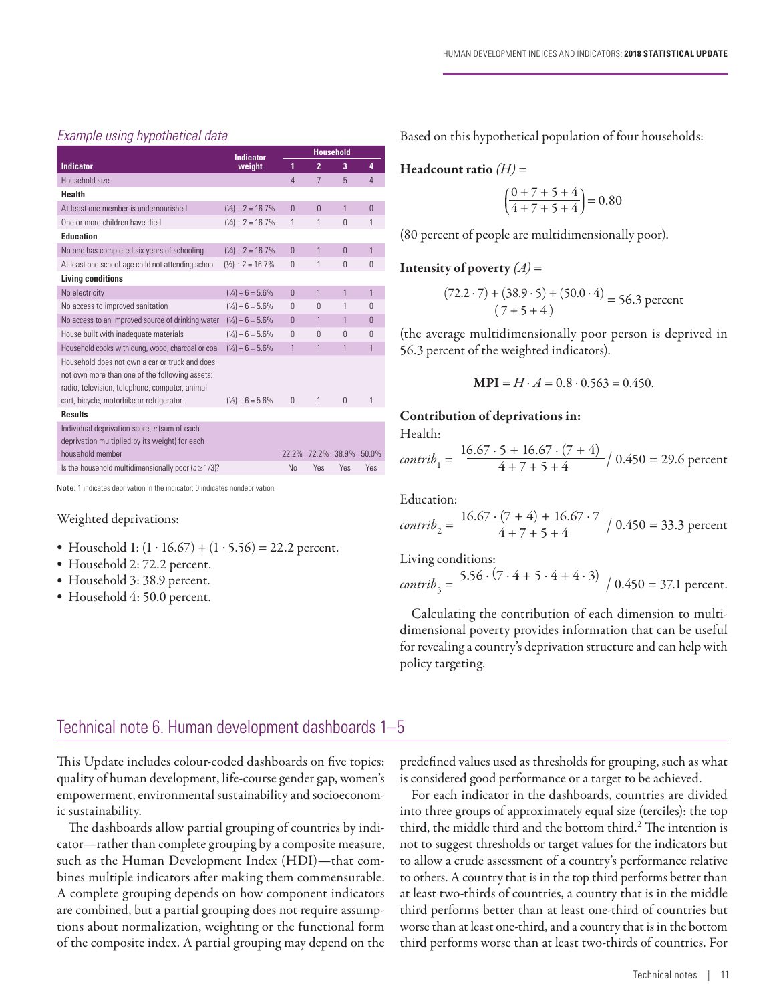#### *Example using hypothetical data*

|                                                                                                                                                                                                 | <b>Indicator</b>                | <b>Household</b> |                 |                         |            |  |
|-------------------------------------------------------------------------------------------------------------------------------------------------------------------------------------------------|---------------------------------|------------------|-----------------|-------------------------|------------|--|
| <b>Indicator</b>                                                                                                                                                                                | weight                          | 1                | $\overline{2}$  | $\overline{\mathbf{3}}$ | 4          |  |
| Household size                                                                                                                                                                                  |                                 | 4                | $7\phantom{.0}$ | 5                       | 4          |  |
| <b>Health</b>                                                                                                                                                                                   |                                 |                  |                 |                         |            |  |
| At least one member is undernourished                                                                                                                                                           | $(\frac{1}{3}) \div 2 = 16.7\%$ | $\theta$         | $\Omega$        | 1                       | $\Omega$   |  |
| One or more children have died                                                                                                                                                                  | $(\frac{1}{3}) \div 2 = 16.7\%$ | 1                | 1               | $\Omega$                | 1          |  |
| <b>Education</b>                                                                                                                                                                                |                                 |                  |                 |                         |            |  |
| No one has completed six years of schooling                                                                                                                                                     | $(\frac{1}{3}) \div 2 = 16.7\%$ | $\Omega$         | 1               | $\Omega$                | 1          |  |
| At least one school-age child not attending school                                                                                                                                              | $(\frac{1}{3}) \div 2 = 16.7\%$ | $\Omega$         | 1               | $\Omega$                | $\Omega$   |  |
| <b>Living conditions</b>                                                                                                                                                                        |                                 |                  |                 |                         |            |  |
| No electricity                                                                                                                                                                                  | $(\frac{1}{3}) \div 6 = 5.6\%$  | $\Omega$         | 1               | $\mathbf{1}$            | 1          |  |
| No access to improved sanitation                                                                                                                                                                | $(\frac{1}{3}) \div 6 = 5.6\%$  | $\Omega$         | $\Omega$        | 1                       | $\Omega$   |  |
| No access to an improved source of drinking water                                                                                                                                               | $(\frac{1}{3}) \div 6 = 5.6\%$  | $\Omega$         | 1               | 1                       | $\Omega$   |  |
| House built with inadequate materials                                                                                                                                                           | $(\frac{1}{3}) \div 6 = 5.6\%$  | $\Omega$         | $\bigcap$       | $\Omega$                | $\Omega$   |  |
| Household cooks with dung, wood, charcoal or coal                                                                                                                                               | $(\frac{1}{3}) \div 6 = 5.6\%$  | 1                | 1               | 1                       | 1          |  |
| Household does not own a car or truck and does<br>not own more than one of the following assets:<br>radio, television, telephone, computer, animal<br>cart, bicycle, motorbike or refrigerator. | $(\frac{1}{3}) \div 6 = 5.6\%$  | $\Omega$         | 1               | $\Omega$                | 1          |  |
| <b>Results</b>                                                                                                                                                                                  |                                 |                  |                 |                         |            |  |
| Individual deprivation score, c (sum of each<br>deprivation multiplied by its weight) for each<br>household member                                                                              |                                 | 72.7%            | 72.2%           | 38.9%                   | 50.0%      |  |
| Is the household multidimensionally poor $(c \geq 1/3)$ ?                                                                                                                                       |                                 | No               | Yes             | Yes                     | <b>Yes</b> |  |
|                                                                                                                                                                                                 |                                 |                  |                 |                         |            |  |

Note: 1 indicates deprivation in the indicator; 0 indicates nondeprivation.

#### Weighted deprivations:

- Household 1:  $(1 \cdot 16.67) + (1 \cdot 5.56) = 22.2$  percent.
- Household 2: 72.2 percent.
- Household 3: 38.9 percent.
- Household 4: 50.0 percent.

Based on this hypothetical population of four households:

#### Headcount ratio *(H)* =

$$
\left(\frac{0+7+5+4}{4+7+5+4}\right) = 0.80
$$

(80 percent of people are multidimensionally poor).

#### **Intensity of poverty**  $(A)$  =

$$
\frac{(72.2 \cdot 7) + (38.9 \cdot 5) + (50.0 \cdot 4)}{(7 + 5 + 4)} = 56.3 \text{ percent}
$$

(the average multidimensionally poor person is deprived in 56.3 percent of the weighted indicators).

$$
MPI = H \cdot A = 0.8 \cdot 0.563 = 0.450.
$$

#### Contribution of deprivations in:

Health:

*contrib*<sub>1</sub> = 
$$
\frac{16.67 \cdot 5 + 16.67 \cdot (7 + 4)}{4 + 7 + 5 + 4} / 0.450 = 29.6
$$
 percent

Education:

*contrib*<sub>2</sub> = 
$$
\frac{16.67 \cdot (7 + 4) + 16.67 \cdot 7}{4 + 7 + 5 + 4} / 0.450 = 33.3
$$
 percent

Living conditions:

*contrib*<sub>3</sub> = 
$$
5.56 \cdot (7 \cdot 4 + 5 \cdot 4 + 4 \cdot 3) / 0.450 = 37.1
$$
 percent.

Calculating the contribution of each dimension to multidimensional poverty provides information that can be useful for revealing a country's deprivation structure and can help with policy targeting.

# Technical note 6. Human development dashboards 1–5

This Update includes colour-coded dashboards on five topics: quality of human development, life-course gender gap, women's empowerment, environmental sustainability and socioeconomic sustainability.

The dashboards allow partial grouping of countries by indicator—rather than complete grouping by a composite measure, such as the Human Development Index (HDI)—that combines multiple indicators after making them commensurable. A complete grouping depends on how component indicators are combined, but a partial grouping does not require assumptions about normalization, weighting or the functional form of the composite index. A partial grouping may depend on the predefined values used as thresholds for grouping, such as what is considered good performance or a target to be achieved.

For each indicator in the dashboards, countries are divided into three groups of approximately equal size (terciles): the top third, the middle third and the bottom third.<sup>2</sup> The intention is not to suggest thresholds or target values for the indicators but to allow a crude assessment of a country's performance relative to others. A country that is in the top third performs better than at least two-thirds of countries, a country that is in the middle third performs better than at least one-third of countries but worse than at least one-third, and a country that is in the bottom third performs worse than at least two-thirds of countries. For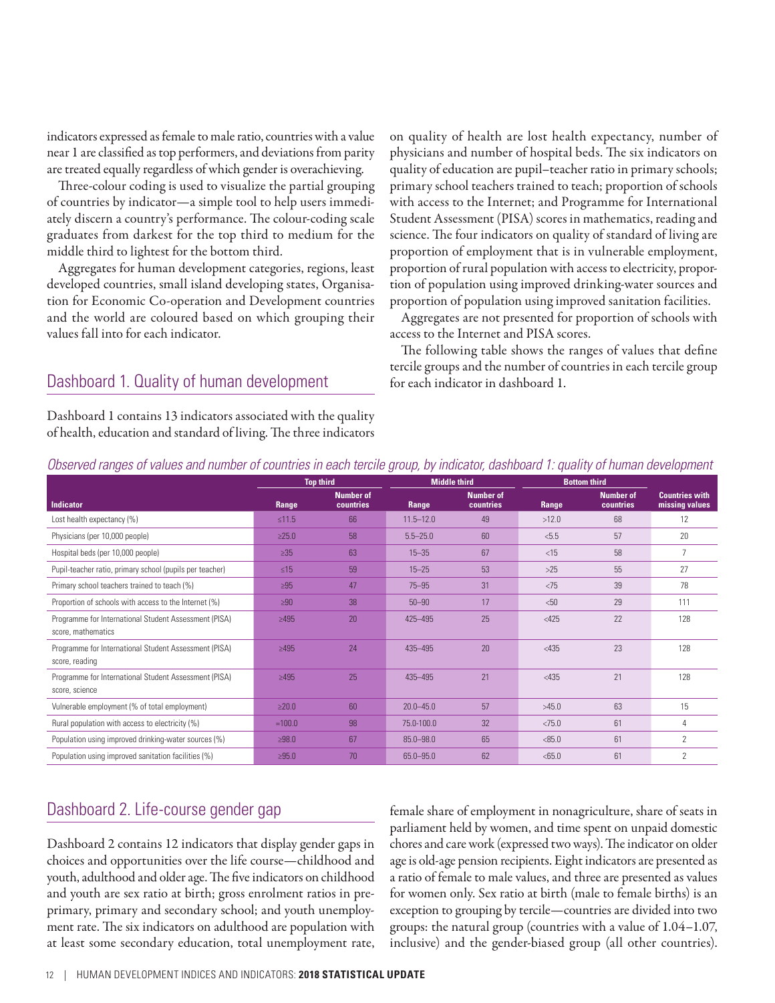indicators expressed as female to male ratio, countries with a value near 1 are classified as top performers, and deviations from parity are treated equally regardless of which gender is overachieving.

Three-colour coding is used to visualize the partial grouping of countries by indicator—a simple tool to help users immediately discern a country's performance. The colour-coding scale graduates from darkest for the top third to medium for the middle third to lightest for the bottom third.

Aggregates for human development categories, regions, least developed countries, small island developing states, Organisation for Economic Co-operation and Development countries and the world are coloured based on which grouping their values fall into for each indicator.

# Dashboard 1. Quality of human development

Dashboard 1 contains 13 indicators associated with the quality of health, education and standard of living. The three indicators

on quality of health are lost health expectancy, number of physicians and number of hospital beds. The six indicators on quality of education are pupil–teacher ratio in primary schools; primary school teachers trained to teach; proportion of schools with access to the Internet; and Programme for International Student Assessment (PISA) scores in mathematics, reading and science. The four indicators on quality of standard of living are proportion of employment that is in vulnerable employment, proportion of rural population with access to electricity, proportion of population using improved drinking-water sources and proportion of population using improved sanitation facilities.

Aggregates are not presented for proportion of schools with access to the Internet and PISA scores.

The following table shows the ranges of values that define tercile groups and the number of countries in each tercile group for each indicator in dashboard 1.

|                                                                             | <b>Top third</b><br><b>Middle third</b> |                               | <b>Bottom third</b> |                               |         |                               |                                         |
|-----------------------------------------------------------------------------|-----------------------------------------|-------------------------------|---------------------|-------------------------------|---------|-------------------------------|-----------------------------------------|
| <b>Indicator</b>                                                            | Range                                   | <b>Number of</b><br>countries | Range               | <b>Number of</b><br>countries | Range   | <b>Number of</b><br>countries | <b>Countries with</b><br>missing values |
| Lost health expectancy (%)                                                  | $≤11.5$                                 | 66                            | $11.5 - 12.0$       | 49                            | >12.0   | 68                            | 12                                      |
| Physicians (per 10,000 people)                                              | $\geq 25.0$                             | 58                            | $5.5 - 25.0$        | 60                            | < 5.5   | 57                            | 20                                      |
| Hospital beds (per 10,000 people)                                           | $\geq 35$                               | 63                            | $15 - 35$           | 67                            | $<$ 15  | 58                            |                                         |
| Pupil-teacher ratio, primary school (pupils per teacher)                    | ≤15                                     | 59                            | $15 - 25$           | 53                            | >25     | 55                            | 27                                      |
| Primary school teachers trained to teach (%)                                | $\geq 95$                               | 47                            | $75 - 95$           | 31                            | < 75    | 39                            | 78                                      |
| Proportion of schools with access to the Internet (%)                       | $\geq 90$                               | 38                            | $50 - 90$           | 17                            | < 50    | 29                            | 111                                     |
| Programme for International Student Assessment (PISA)<br>score, mathematics | $\geq 495$                              | 20                            | 425-495             | 25                            | $<$ 425 | 22                            | 128                                     |
| Programme for International Student Assessment (PISA)<br>score, reading     | $\geq 495$                              | 24                            | 435-495             | 20                            | < 435   | 23                            | 128                                     |
| Programme for International Student Assessment (PISA)<br>score, science     | $\geq 495$                              | 25                            | 435-495             | 21                            | < 435   | 21                            | 128                                     |
| Vulnerable employment (% of total employment)                               | $\geq 20.0$                             | 60                            | $20.0 - 45.0$       | 57                            | >45.0   | 63                            | 15                                      |
| Rural population with access to electricity (%)                             | $=100.0$                                | 98                            | 75.0-100.0          | 32                            | < 75.0  | 61                            | 4                                       |
| Population using improved drinking-water sources (%)                        | >98.0                                   | 67                            | $85.0 - 98.0$       | 65                            | < 85.0  | 61                            | $\mathcal{P}$                           |
| Population using improved sanitation facilities (%)                         | $\geq 95.0$                             | 70                            | 65.0 - 95.0         | 62                            | < 65.0  | 61                            | $\overline{2}$                          |

*Observed ranges of values and number of countries in each tercile group, by indicator, dashboard 1: quality of human development*

# Dashboard 2. Life-course gender gap

Dashboard 2 contains 12 indicators that display gender gaps in choices and opportunities over the life course—childhood and youth, adulthood and older age. The five indicators on childhood and youth are sex ratio at birth; gross enrolment ratios in preprimary, primary and secondary school; and youth unemployment rate. The six indicators on adulthood are population with at least some secondary education, total unemployment rate,

female share of employment in nonagriculture, share of seats in parliament held by women, and time spent on unpaid domestic chores and care work (expressed two ways). The indicator on older age is old-age pension recipients. Eight indicators are presented as a ratio of female to male values, and three are presented as values for women only. Sex ratio at birth (male to female births) is an exception to grouping by tercile—countries are divided into two groups: the natural group (countries with a value of 1.04–1.07, inclusive) and the gender-biased group (all other countries).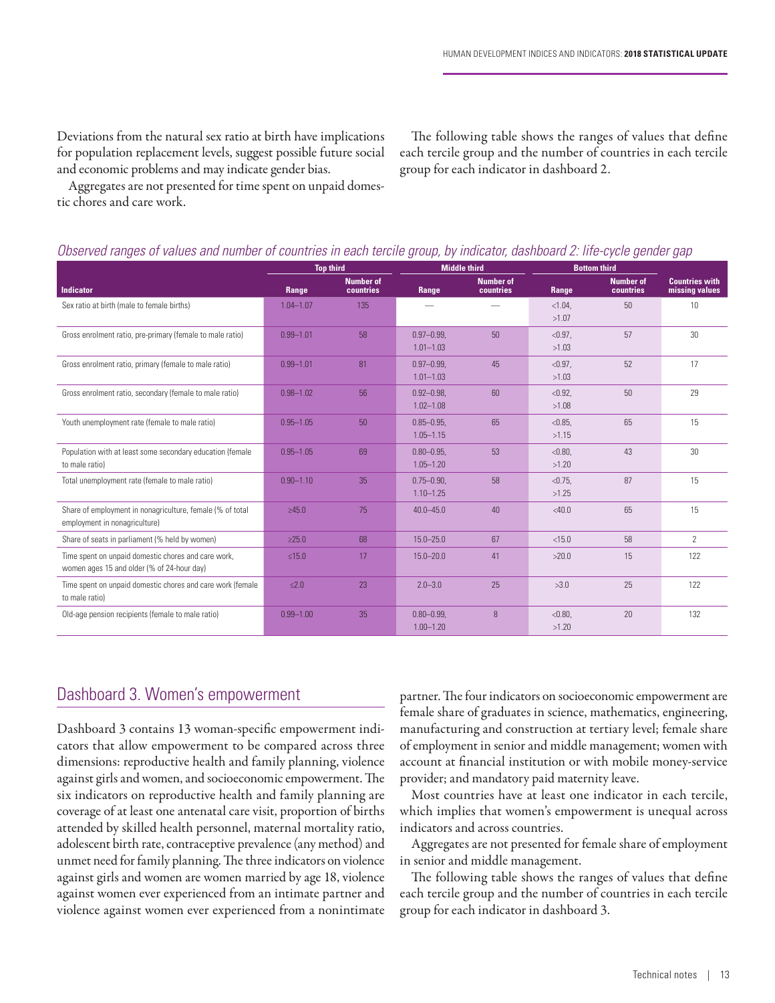Deviations from the natural sex ratio at birth have implications for population replacement levels, suggest possible future social and economic problems and may indicate gender bias.

Aggregates are not presented for time spent on unpaid domestic chores and care work.

The following table shows the ranges of values that define each tercile group and the number of countries in each tercile group for each indicator in dashboard 2.

|                                                                                                   |               | <b>Top third</b>              |                                  | <b>Middle third</b>           | <b>Bottom third</b> |                               |                                         |
|---------------------------------------------------------------------------------------------------|---------------|-------------------------------|----------------------------------|-------------------------------|---------------------|-------------------------------|-----------------------------------------|
| <b>Indicator</b>                                                                                  | Range         | <b>Number of</b><br>countries | Range                            | <b>Number of</b><br>countries | Range               | <b>Number of</b><br>countries | <b>Countries with</b><br>missing values |
| Sex ratio at birth (male to female births)                                                        | $1.04 - 1.07$ | 135                           |                                  |                               | < 1.04.<br>>1.07    | 50                            | 10                                      |
| Gross enrolment ratio, pre-primary (female to male ratio)                                         | $0.99 - 1.01$ | 58                            | $0.97 - 0.99.$<br>$1.01 - 1.03$  | 50                            | < 0.97.<br>>1.03    | 57                            | 30                                      |
| Gross enrolment ratio, primary (female to male ratio)                                             | $0.99 - 1.01$ | 81                            | $0.97 - 0.99.$<br>$1.01 - 1.03$  | 45                            | $< 0.97$ ,<br>>1.03 | 52                            | 17                                      |
| Gross enrolment ratio, secondary (female to male ratio)                                           | $0.98 - 1.02$ | 56                            | $0.92 - 0.98$ .<br>$1.02 - 1.08$ | 60                            | < 0.92.<br>>1.08    | 50                            | 29                                      |
| Youth unemployment rate (female to male ratio)                                                    | $0.95 - 1.05$ | 50                            | $0.85 - 0.95$ .<br>$1.05 - 1.15$ | 65                            | < 0.85.<br>>1.15    | 65                            | 15                                      |
| Population with at least some secondary education (female<br>to male ratio)                       | $0.95 - 1.05$ | 69                            | $0.80 - 0.95.$<br>$1.05 - 1.20$  | 53                            | < 0.80.<br>>1.20    | 43                            | 30                                      |
| Total unemployment rate (female to male ratio)                                                    | $0.90 - 1.10$ | 35                            | $0.75 - 0.90.$<br>$1.10 - 1.25$  | 58                            | < 0.75.<br>>1.25    | 87                            | 15                                      |
| Share of employment in nonagriculture, female (% of total<br>employment in nonagriculture)        | >45.0         | 75                            | $40.0 - 45.0$                    | 40                            | $<$ 40.0            | 65                            | 15                                      |
| Share of seats in parliament (% held by women)                                                    | $\geq$ 25.0   | 68                            | $15.0 - 25.0$                    | 67                            | < 15.0              | 58                            | $\overline{2}$                          |
| Time spent on unpaid domestic chores and care work,<br>women ages 15 and older (% of 24-hour day) | $\leq 15.0$   | 17                            | $15.0 - 20.0$                    | 41                            | >20.0               | 15                            | 122                                     |
| Time spent on unpaid domestic chores and care work (female<br>to male ratio)                      | $\leq 2.0$    | 23                            | $2.0 - 3.0$                      | 25                            | >3.0                | 25                            | 122                                     |
| Old-age pension recipients (female to male ratio)                                                 | $0.99 - 1.00$ | 35                            | $0.80 - 0.99.$<br>$1.00 - 1.20$  | 8                             | < 0.80.<br>>1.20    | 20                            | 132                                     |

# Dashboard 3. Women's empowerment

Dashboard 3 contains 13 woman-specific empowerment indicators that allow empowerment to be compared across three dimensions: reproductive health and family planning, violence against girls and women, and socioeconomic empowerment. The six indicators on reproductive health and family planning are coverage of at least one antenatal care visit, proportion of births attended by skilled health personnel, maternal mortality ratio, adolescent birth rate, contraceptive prevalence (any method) and unmet need for family planning. The three indicators on violence against girls and women are women married by age 18, violence against women ever experienced from an intimate partner and violence against women ever experienced from a nonintimate

partner. The four indicators on socioeconomic empowerment are female share of graduates in science, mathematics, engineering, manufacturing and construction at tertiary level; female share of employment in senior and middle management; women with account at financial institution or with mobile money-service provider; and mandatory paid maternity leave.

Most countries have at least one indicator in each tercile, which implies that women's empowerment is unequal across indicators and across countries.

Aggregates are not presented for female share of employment in senior and middle management.

The following table shows the ranges of values that define each tercile group and the number of countries in each tercile group for each indicator in dashboard 3.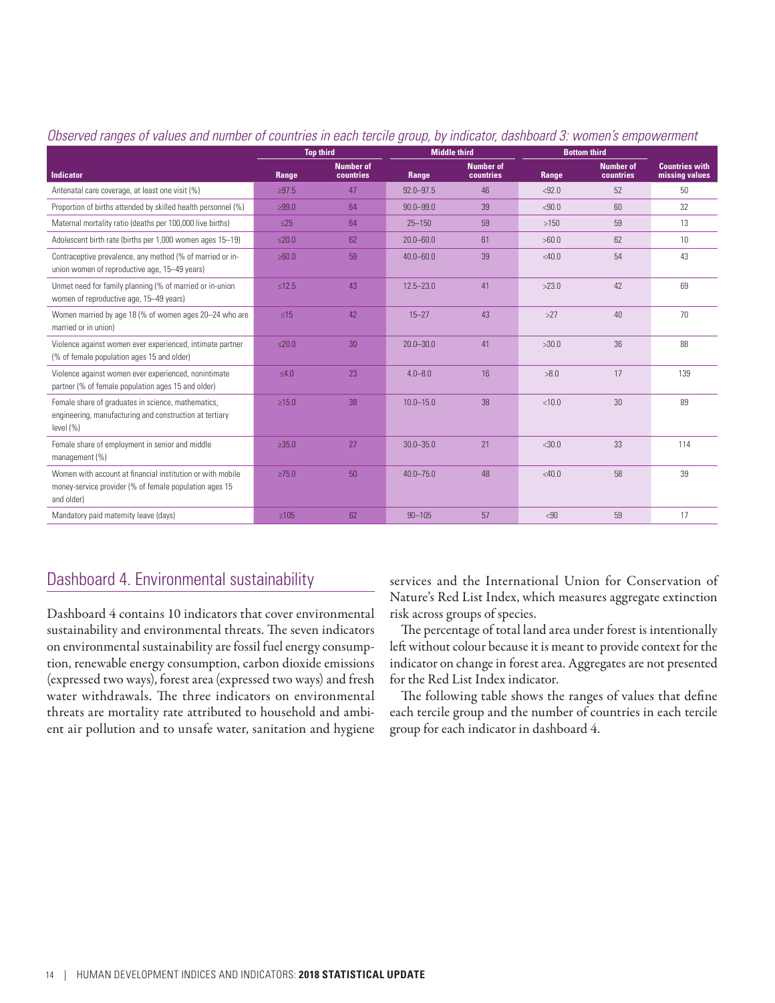|                                                                                                                                    | <b>Middle third</b><br><b>Top third</b> |                               | <b>Bottom third</b> |                               |          |                               |                                         |
|------------------------------------------------------------------------------------------------------------------------------------|-----------------------------------------|-------------------------------|---------------------|-------------------------------|----------|-------------------------------|-----------------------------------------|
| <b>Indicator</b>                                                                                                                   | Range                                   | <b>Number of</b><br>countries | Range               | <b>Number of</b><br>countries | Range    | <b>Number of</b><br>countries | <b>Countries with</b><br>missing values |
| Antenatal care coverage, at least one visit (%)                                                                                    | >97.5                                   | 47                            | $92.0 - 97.5$       | 46                            | < 92.0   | 52                            | 50                                      |
| Proportion of births attended by skilled health personnel (%)                                                                      | >99.0                                   | 64                            | $90.0 - 99.0$       | 39                            | < 90.0   | 60                            | 32                                      |
| Maternal mortality ratio (deaths per 100,000 live births)                                                                          | $\leq$ 25                               | 64                            | $25 - 150$          | 59                            | >150     | 59                            | 13                                      |
| Adolescent birth rate (births per 1,000 women ages 15-19)                                                                          | $≤20.0$                                 | 62                            | $20.0 - 60.0$       | 61                            | >60.0    | 62                            | 10 <sup>1</sup>                         |
| Contraceptive prevalence, any method (% of married or in-<br>union women of reproductive age, 15-49 years)                         | $\geq 60.0$                             | 59                            | $40.0 - 60.0$       | 39                            | $<$ 40.0 | 54                            | 43                                      |
| Unmet need for family planning (% of married or in-union<br>women of reproductive age, 15-49 years)                                | $\leq 12.5$                             | 43                            | $12.5 - 23.0$       | 41                            | >23.0    | 42                            | 69                                      |
| Women married by age 18 (% of women ages 20-24 who are<br>married or in union)                                                     | $\leq 15$                               | 42                            | $15 - 27$           | 43                            | >27      | 40                            | 70                                      |
| Violence against women ever experienced, intimate partner<br>(% of female population ages 15 and older)                            | $≤20.0$                                 | 30 <sup>°</sup>               | $20.0 - 30.0$       | 41                            | >30.0    | 36                            | 88                                      |
| Violence against women ever experienced, nonintimate<br>partner (% of female population ages 15 and older)                         | $\leq 4.0$                              | 23                            | $4.0 - 8.0$         | 16                            | >8.0     | 17                            | 139                                     |
| Female share of graduates in science, mathematics,<br>engineering, manufacturing and construction at tertiary<br>level $(\% )$     | >15.0                                   | 38                            | $10.0 - 15.0$       | 38                            | < 10.0   | 30                            | 89                                      |
| Female share of employment in senior and middle<br>management (%)                                                                  | $\geq 35.0$                             | 27                            | $30.0 - 35.0$       | 21                            | $<$ 30.0 | 33                            | 114                                     |
| Women with account at financial institution or with mobile<br>money-service provider (% of female population ages 15<br>and older) | $\geq 75.0$                             | 50                            | $40.0 - 75.0$       | 48                            | $<$ 40.0 | 58                            | 39                                      |
| Mandatory paid maternity leave (days)                                                                                              | $\geq 105$                              | 62                            | $90 - 105$          | 57                            | < 90     | 59                            | 17                                      |

#### *Observed ranges of values and number of countries in each tercile group, by indicator, dashboard 3: women's empowerment*

# Dashboard 4. Environmental sustainability

Dashboard 4 contains 10 indicators that cover environmental sustainability and environmental threats. The seven indicators on environmental sustainability are fossil fuel energy consumption, renewable energy consumption, carbon dioxide emissions (expressed two ways), forest area (expressed two ways) and fresh water withdrawals. The three indicators on environmental threats are mortality rate attributed to household and ambient air pollution and to unsafe water, sanitation and hygiene services and the International Union for Conservation of Nature's Red List Index, which measures aggregate extinction risk across groups of species.

The percentage of total land area under forest is intentionally left without colour because it is meant to provide context for the indicator on change in forest area. Aggregates are not presented for the Red List Index indicator.

The following table shows the ranges of values that define each tercile group and the number of countries in each tercile group for each indicator in dashboard 4.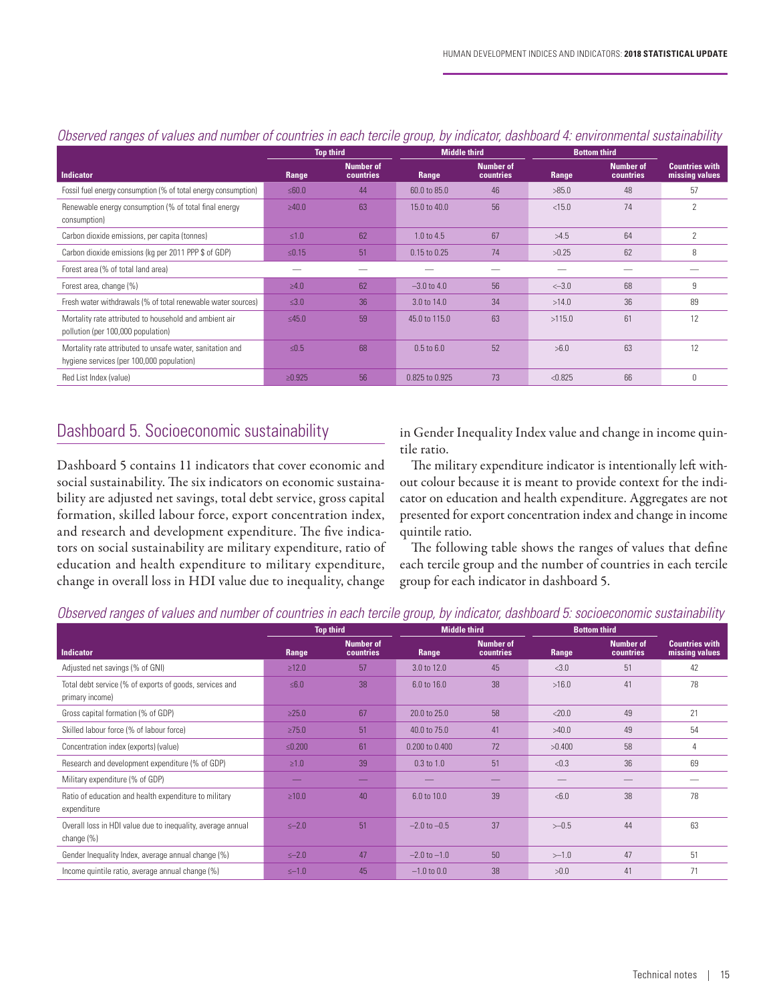|                                                                                                        | <b>Top third</b> |                                      | <b>Middle third</b> |                               | <b>Bottom third</b> |                               |                                         |
|--------------------------------------------------------------------------------------------------------|------------------|--------------------------------------|---------------------|-------------------------------|---------------------|-------------------------------|-----------------------------------------|
| <b>Indicator</b>                                                                                       | Range            | <b>Number of</b><br><b>countries</b> | Range               | <b>Number of</b><br>countries | Range,              | <b>Number of</b><br>countries | <b>Countries with</b><br>missing values |
| Fossil fuel energy consumption (% of total energy consumption)                                         | ≤60.0            | 44                                   | 60.0 to 85.0        | 46                            | >85.0               | 48                            | 57                                      |
| Renewable energy consumption (% of total final energy<br>consumption)                                  | >40.0            | 63                                   | 15.0 to 40.0        | 56                            | < 15.0              | 74                            | $\overline{\phantom{a}}$                |
| Carbon dioxide emissions, per capita (tonnes)                                                          | $\leq 1.0$       | 62                                   | 1.0 to 4.5          | 67                            | >4.5                | 64                            | 2                                       |
| Carbon dioxide emissions (kg per 2011 PPP \$ of GDP)                                                   | $\leq 0.15$      | 51                                   | 0.15 to 0.25        | 74                            | >0.25               | 62                            | 8                                       |
| Forest area (% of total land area)                                                                     |                  |                                      |                     |                               |                     |                               |                                         |
| Forest area, change (%)                                                                                | $\geq 4.0$       | 62                                   | $-3.0$ to 4.0       | 56                            | $<-3.0$             | 68                            | 9                                       |
| Fresh water withdrawals (% of total renewable water sources)                                           | $\leq 3.0$       | 36                                   | 3.0 to 14.0         | 34                            | >14.0               | 36                            | 89                                      |
| Mortality rate attributed to household and ambient air<br>pollution (per 100,000 population)           | $\leq 45.0$      | 59                                   | 45.0 to 115.0       | 63                            | >115.0              | 61                            | 12                                      |
| Mortality rate attributed to unsafe water, sanitation and<br>hygiene services (per 100,000 population) | $\leq 0.5$       | 68                                   | $0.5$ to $6.0$      | 52                            | >6.0                | 63                            | 12                                      |
| Red List Index (value)                                                                                 | $\ge 0.925$      | 56                                   | 0.825 to 0.925      | 73                            | < 0.825             | 66                            | $\Omega$                                |

## *Observed ranges of values and number of countries in each tercile group, by indicator, dashboard 4: environmental sustainability*

# Dashboard 5. Socioeconomic sustainability

Dashboard 5 contains 11 indicators that cover economic and social sustainability. The six indicators on economic sustainability are adjusted net savings, total debt service, gross capital formation, skilled labour force, export concentration index, and research and development expenditure. The five indicators on social sustainability are military expenditure, ratio of education and health expenditure to military expenditure, change in overall loss in HDI value due to inequality, change

in Gender Inequality Index value and change in income quintile ratio.

The military expenditure indicator is intentionally left without colour because it is meant to provide context for the indicator on education and health expenditure. Aggregates are not presented for export concentration index and change in income quintile ratio.

The following table shows the ranges of values that define each tercile group and the number of countries in each tercile group for each indicator in dashboard 5.

#### *Observed ranges of values and number of countries in each tercile group, by indicator, dashboard 5: socioeconomic sustainability*

|                                                                            | <b>Top third</b> |                                      | <b>Middle third</b>    |                               | <b>Bottom third</b> |                               |                                         |
|----------------------------------------------------------------------------|------------------|--------------------------------------|------------------------|-------------------------------|---------------------|-------------------------------|-----------------------------------------|
| Indicator                                                                  | Range            | <b>Number of</b><br><b>countries</b> | Range                  | <b>Number of</b><br>countries | Range               | <b>Number of</b><br>countries | <b>Countries with</b><br>missing values |
| Adjusted net savings (% of GNI)                                            | $\ge 12.0$       | 57                                   | 3.0 to 12.0            | 45                            | <3.0                | 51                            | 42                                      |
| Total debt service (% of exports of goods, services and<br>primary income) | $\leq 6.0$       | 38                                   | $6.0 \text{ to } 16.0$ | 38                            | >16.0               | 41                            | 78                                      |
| Gross capital formation (% of GDP)                                         | $\geq$ 25.0      | 67                                   | 20.0 to 25.0           | 58                            | < 20.0              | 49                            | 21                                      |
| Skilled labour force (% of labour force)                                   | $\geq 75.0$      | 51                                   | 40.0 to 75.0           | 41                            | >40.0               | 49                            | 54                                      |
| Concentration index (exports) (value)                                      | $≤0.200$         | 61                                   | 0.200 to 0.400         | 72                            | >0.400              | 58                            | 4                                       |
| Research and development expenditure (% of GDP)                            | $\geq 1.0$       | 39                                   | $0.3$ to $1.0$         | 51                            | < 0.3               | 36                            | 69                                      |
| Military expenditure (% of GDP)                                            |                  |                                      |                        |                               |                     |                               |                                         |
| Ratio of education and health expenditure to military<br>expenditure       | $\geq 10.0$      | 40                                   | 6.0 to 10.0            | 39                            | <6.0                | 38                            | 78                                      |
| Overall loss in HDI value due to inequality, average annual<br>change (%)  | $\leq -2.0$      | 51                                   | $-2.0$ to $-0.5$       | 37                            | $>-0.5$             | 44                            | 63                                      |
| Gender Inequality Index, average annual change (%)                         | $\leq -2.0$      | 47                                   | $-2.0$ to $-1.0$       | 50                            | $>-1.0$             | 47                            | 51                                      |
| Income quintile ratio, average annual change (%)                           | $\leq -1.0$      | 45                                   | $-1.0$ to 0.0          | 38                            | >0.0                | 41                            | 71                                      |